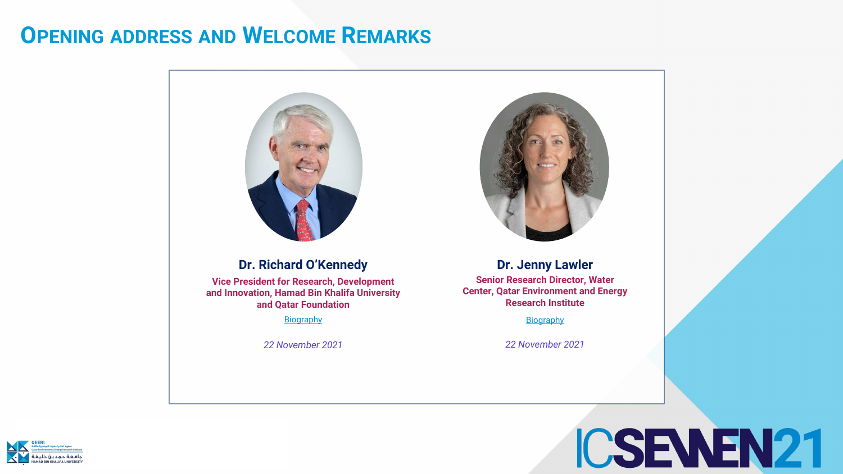



### **OPENING ADDRESS AND WELCOME REMARKS**



#### **Dr. Richard O'Kennedy**

**Vice President for Research, Development and Innovation, Hamad Bin Khalifa University and Qatar Foundation**

[Biography](https://www.hbku.edu.qa/en/officials/richard-okennedy)

*22 November 2021*

#### **Dr. Jenny Lawler**

**[Biography](https://www.hbku.edu.qa/en/staff/jenny-lawler)** 

**Senior Research Director, Water Center, Qatar Environment and Energy Research Institute**

*22 November 2021*

# ICSEWEN21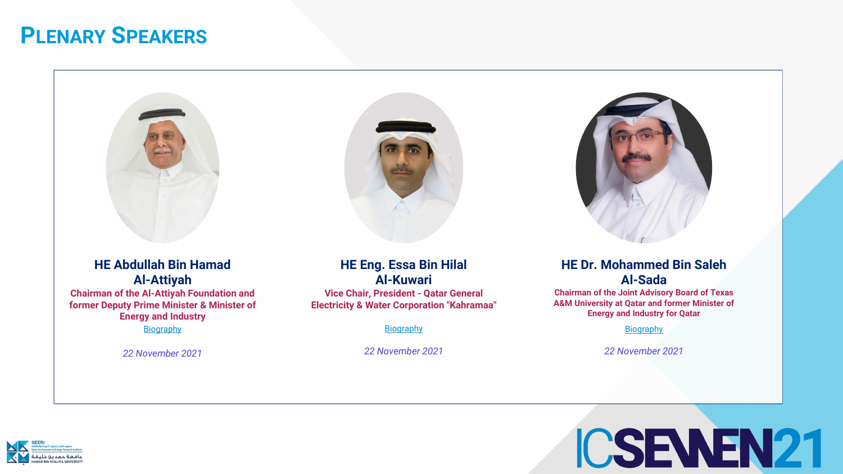



### **PLENARY SPEAKERS**





### **HE Abdullah Bin Hamad Al-Attiyah**

**Chairman of the Al-Attiyah Foundation and former Deputy Prime Minister & Minister of Energy and Industry**

**[Biography](https://www.abhafoundation.org/experts_board_directors_01)** 

*22 November 2021*

#### **HE Dr. Mohammed Bin Saleh Al-Sada**

**Chairman of the Joint Advisory Board of Texas A&M University at Qatar and former Minister of Energy and Industry for Qatar** 

**[Biography](https://www.qatar.tamu.edu/programs/mechanical-engineering/faculty-and-staff/h.e.-dr.-mohammed-bin-saleh-al-sada)** 

*22 November 2021*

## ICSEWEN21

#### **HE Eng. Essa Bin Hilal Al-Kuwari**

**Vice Chair, President - Qatar General Electricity & Water Corporation "Kahramaa"**

**[Biography](https://www.hbku.edu.qa/en/officials/essa-bin-hilal-al-kuwari)** 

*22 November 2021*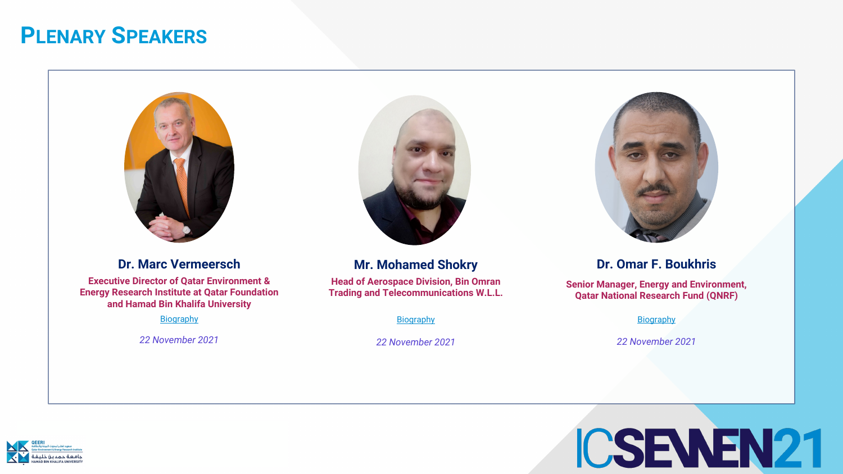



#### **Dr. Omar F. Boukhris**

**Senior Manager, Energy and Environment, Qatar National Research Fund (QNRF)**

**[Biography](https://www.linkedin.com/in/dr-omar-boukhris-8288a8127/?originalSubdomain=qa)** 

*22 November 2021*

## ICSEWEN21

#### **Dr. Marc Vermeersch**

**Executive Director of Qatar Environment & Energy Research Institute at Qatar Foundation and Hamad Bin Khalifa University**

**[Biography](https://www.linkedin.com/in/marc-vermeersch-731a8b8/?originalSubdomain=qa)** 

*22 November 2021*



#### **Mr. Mohamed Shokry**

**Head of Aerospace Division, Bin Omran Trading and Telecommunications W.L.L.**

**[Biography](https://www.linkedin.com/in/mohamad-shokry-al-naami-82333215/)** 

*22 November 2021*

## **PLENARY SPEAKERS**